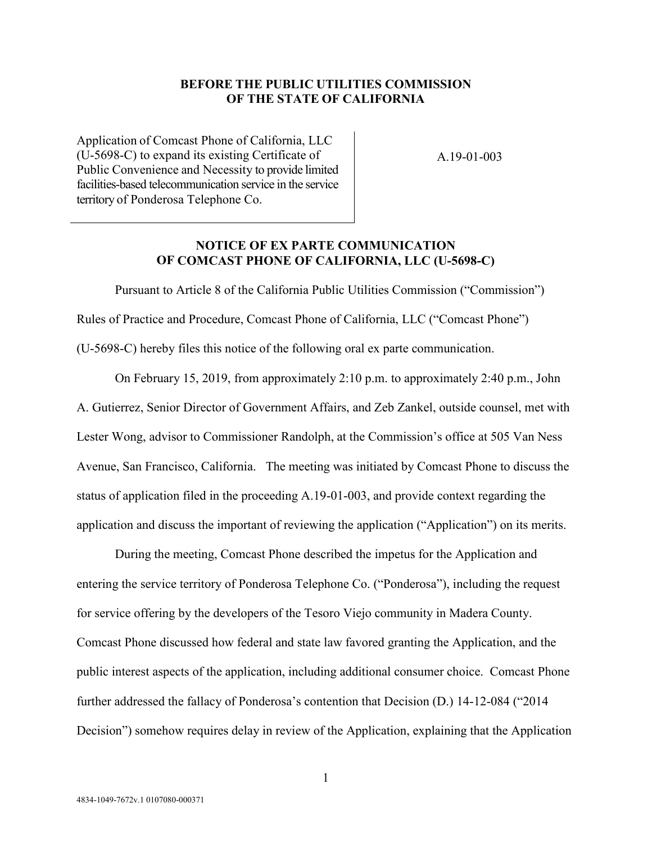## **BEFORE THE PUBLIC UTILITIES COMMISSION OF THE STATE OF CALIFORNIA**

Application of Comcast Phone of California, LLC (U-5698-C) to expand its existing Certificate of Public Convenience and Necessity to provide limited facilities-based telecommunication service in the service territory of Ponderosa Telephone Co.

A.19-01-003

## **NOTICE OF EX PARTE COMMUNICATION OF COMCAST PHONE OF CALIFORNIA, LLC (U-5698-C)**

Pursuant to Article 8 of the California Public Utilities Commission ("Commission") Rules of Practice and Procedure, Comcast Phone of California, LLC ("Comcast Phone") (U-5698-C) hereby files this notice of the following oral ex parte communication.

On February 15, 2019, from approximately 2:10 p.m. to approximately 2:40 p.m., John A. Gutierrez, Senior Director of Government Affairs, and Zeb Zankel, outside counsel, met with Lester Wong, advisor to Commissioner Randolph, at the Commission's office at 505 Van Ness Avenue, San Francisco, California. The meeting was initiated by Comcast Phone to discuss the status of application filed in the proceeding A.19-01-003, and provide context regarding the application and discuss the important of reviewing the application ("Application") on its merits.

During the meeting, Comcast Phone described the impetus for the Application and entering the service territory of Ponderosa Telephone Co. ("Ponderosa"), including the request for service offering by the developers of the Tesoro Viejo community in Madera County. Comcast Phone discussed how federal and state law favored granting the Application, and the public interest aspects of the application, including additional consumer choice. Comcast Phone further addressed the fallacy of Ponderosa's contention that Decision (D.) 14-12-084 ("2014 Decision") somehow requires delay in review of the Application, explaining that the Application

1